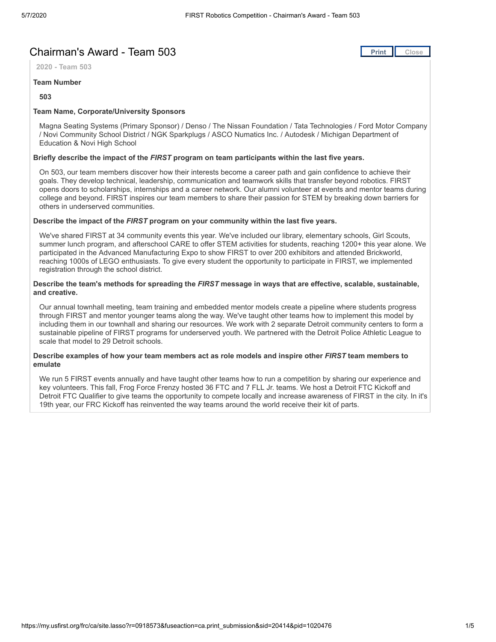# **Chairman's Award - Team 503 [Print](javascript:this.print();)ing of Award - Team 503**

**2020 - Team 503**

#### **Team Number**

**503**

### **Team Name, Corporate/University Sponsors**

Magna Seating Systems (Primary Sponsor) / Denso / The Nissan Foundation / Tata Technologies / Ford Motor Company / Novi Community School District / NGK Sparkplugs / ASCO Numatics Inc. / Autodesk / Michigan Department of Education & Novi High School

#### **Briefly describe the impact of the** *FIRST* **program on team participants within the last five years.**

On 503, our team members discover how their interests become a career path and gain confidence to achieve their goals. They develop technical, leadership, communication and teamwork skills that transfer beyond robotics. FIRST opens doors to scholarships, internships and a career network. Our alumni volunteer at events and mentor teams during college and beyond. FIRST inspires our team members to share their passion for STEM by breaking down barriers for others in underserved communities.

#### **Describe the impact of the** *FIRST* **program on your community within the last five years.**

We've shared FIRST at 34 community events this year. We've included our library, elementary schools, Girl Scouts, summer lunch program, and afterschool CARE to offer STEM activities for students, reaching 1200+ this year alone. We participated in the Advanced Manufacturing Expo to show FIRST to over 200 exhibitors and attended Brickworld, reaching 1000s of LEGO enthusiasts. To give every student the opportunity to participate in FIRST, we implemented registration through the school district.

#### **Describe the team's methods for spreading the** *FIRST* **message in ways that are effective, scalable, sustainable, and creative.**

Our annual townhall meeting, team training and embedded mentor models create a pipeline where students progress through FIRST and mentor younger teams along the way. We've taught other teams how to implement this model by including them in our townhall and sharing our resources. We work with 2 separate Detroit community centers to form a sustainable pipeline of FIRST programs for underserved youth. We partnered with the Detroit Police Athletic League to scale that model to 29 Detroit schools.

#### **Describe examples of how your team members act as role models and inspire other** *FIRST* **team members to emulate**

We run 5 FIRST events annually and have taught other teams how to run a competition by sharing our experience and key volunteers. This fall, Frog Force Frenzy hosted 36 FTC and 7 FLL Jr. teams. We host a Detroit FTC Kickoff and Detroit FTC Qualifier to give teams the opportunity to compete locally and increase awareness of FIRST in the city. In it's 19th year, our FRC Kickoff has reinvented the way teams around the world receive their kit of parts.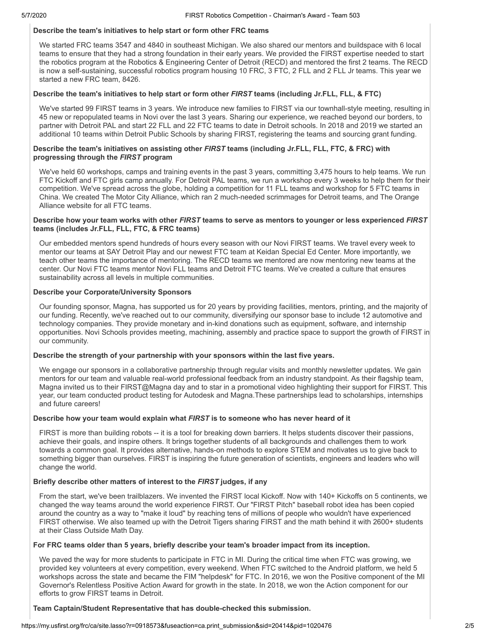#### **Describe the team's initiatives to help start or form other FRC teams**

We started FRC teams 3547 and 4840 in southeast Michigan. We also shared our mentors and buildspace with 6 local teams to ensure that they had a strong foundation in their early years. We provided the FIRST expertise needed to start the robotics program at the Robotics & Engineering Center of Detroit (RECD) and mentored the first 2 teams. The RECD is now a self-sustaining, successful robotics program housing 10 FRC, 3 FTC, 2 FLL and 2 FLL Jr teams. This year we started a new FRC team, 8426.

#### **Describe the team's initiatives to help start or form other** *FIRST* **teams (including Jr.FLL, FLL, & FTC)**

We've started 99 FIRST teams in 3 years. We introduce new families to FIRST via our townhall-style meeting, resulting in 45 new or repopulated teams in Novi over the last 3 years. Sharing our experience, we reached beyond our borders, to partner with Detroit PAL and start 22 FLL and 22 FTC teams to date in Detroit schools. In 2018 and 2019 we started an additional 10 teams within Detroit Public Schools by sharing FIRST, registering the teams and sourcing grant funding.

#### **Describe the team's initiatives on assisting other** *FIRST* **teams (including Jr.FLL, FLL, FTC, & FRC) with progressing through the** *FIRST* **program**

We've held 60 workshops, camps and training events in the past 3 years, committing 3,475 hours to help teams. We run FTC Kickoff and FTC girls camp annually. For Detroit PAL teams, we run a workshop every 3 weeks to help them for their competition. We've spread across the globe, holding a competition for 11 FLL teams and workshop for 5 FTC teams in China. We created The Motor City Alliance, which ran 2 much-needed scrimmages for Detroit teams, and The Orange Alliance website for all FTC teams.

#### **Describe how your team works with other** *FIRST* **teams to serve as mentors to younger or less experienced** *FIRST* **teams (includes Jr.FLL, FLL, FTC, & FRC teams)**

Our embedded mentors spend hundreds of hours every season with our Novi FIRST teams. We travel every week to mentor our teams at SAY Detroit Play and our newest FTC team at Keidan Special Ed Center. More importantly, we teach other teams the importance of mentoring. The RECD teams we mentored are now mentoring new teams at the center. Our Novi FTC teams mentor Novi FLL teams and Detroit FTC teams. We've created a culture that ensures sustainability across all levels in multiple communities.

#### **Describe your Corporate/University Sponsors**

Our founding sponsor, Magna, has supported us for 20 years by providing facilities, mentors, printing, and the majority of our funding. Recently, we've reached out to our community, diversifying our sponsor base to include 12 automotive and technology companies. They provide monetary and in-kind donations such as equipment, software, and internship opportunities. Novi Schools provides meeting, machining, assembly and practice space to support the growth of FIRST in our community.

#### **Describe the strength of your partnership with your sponsors within the last five years.**

We engage our sponsors in a collaborative partnership through regular visits and monthly newsletter updates. We gain mentors for our team and valuable real-world professional feedback from an industry standpoint. As their flagship team, Magna invited us to their FIRST@Magna day and to star in a promotional video highlighting their support for FIRST. This year, our team conducted product testing for Autodesk and Magna.These partnerships lead to scholarships, internships and future careers!

#### **Describe how your team would explain what** *FIRST* **is to someone who has never heard of it**

FIRST is more than building robots -- it is a tool for breaking down barriers. It helps students discover their passions, achieve their goals, and inspire others. It brings together students of all backgrounds and challenges them to work towards a common goal. It provides alternative, hands-on methods to explore STEM and motivates us to give back to something bigger than ourselves. FIRST is inspiring the future generation of scientists, engineers and leaders who will change the world.

#### **Briefly describe other matters of interest to the** *FIRST* **judges, if any**

From the start, we've been trailblazers. We invented the FIRST local Kickoff. Now with 140+ Kickoffs on 5 continents, we changed the way teams around the world experience FIRST. Our "FIRST Pitch" baseball robot idea has been copied around the country as a way to "make it loud" by reaching tens of millions of people who wouldn't have experienced FIRST otherwise. We also teamed up with the Detroit Tigers sharing FIRST and the math behind it with 2600+ students at their Class Outside Math Day.

#### **For FRC teams older than 5 years, briefly describe your team's broader impact from its inception.**

We paved the way for more students to participate in FTC in MI. During the critical time when FTC was growing, we provided key volunteers at every competition, every weekend. When FTC switched to the Android platform, we held 5 workshops across the state and became the FIM "helpdesk" for FTC. In 2016, we won the Positive component of the MI Governor's Relentless Positive Action Award for growth in the state. In 2018, we won the Action component for our efforts to grow FIRST teams in Detroit.

#### **Team Captain/Student Representative that has double-checked this submission.**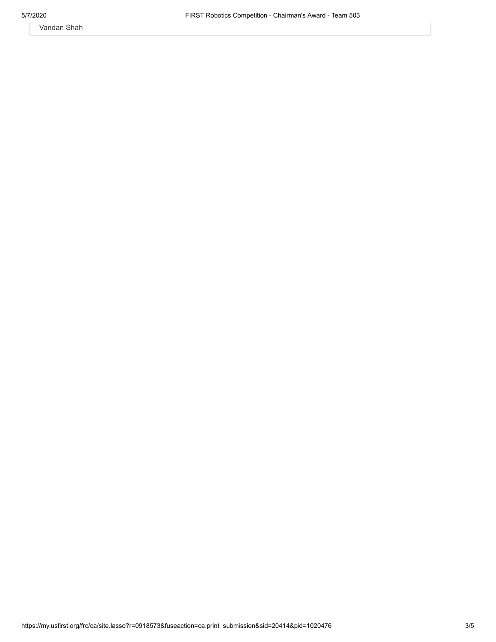Vandan Shah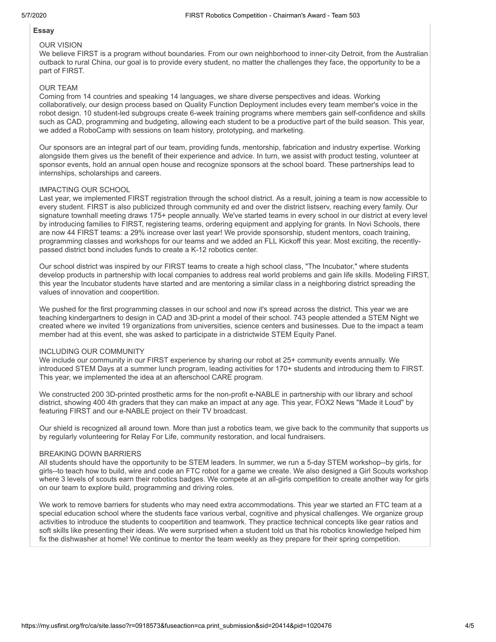# **Essay**

#### OUR VISION

We believe FIRST is a program without boundaries. From our own neighborhood to inner-city Detroit, from the Australian outback to rural China, our goal is to provide every student, no matter the challenges they face, the opportunity to be a part of FIRST.

#### OUR TEAM

Coming from 14 countries and speaking 14 languages, we share diverse perspectives and ideas. Working collaboratively, our design process based on Quality Function Deployment includes every team member's voice in the robot design. 10 student-led subgroups create 6-week training programs where members gain self-confidence and skills such as CAD, programming and budgeting, allowing each student to be a productive part of the build season. This year, we added a RoboCamp with sessions on team history, prototyping, and marketing.

Our sponsors are an integral part of our team, providing funds, mentorship, fabrication and industry expertise. Working alongside them gives us the benefit of their experience and advice. In turn, we assist with product testing, volunteer at sponsor events, hold an annual open house and recognize sponsors at the school board. These partnerships lead to internships, scholarships and careers.

#### IMPACTING OUR SCHOOL

Last year, we implemented FIRST registration through the school district. As a result, joining a team is now accessible to every student. FIRST is also publicized through community ed and over the district listserv, reaching every family. Our signature townhall meeting draws 175+ people annually. We've started teams in every school in our district at every level by introducing families to FIRST, registering teams, ordering equipment and applying for grants. In Novi Schools, there are now 44 FIRST teams: a 29% increase over last year! We provide sponsorship, student mentors, coach training, programming classes and workshops for our teams and we added an FLL Kickoff this year. Most exciting, the recentlypassed district bond includes funds to create a K-12 robotics center.

Our school district was inspired by our FIRST teams to create a high school class, "The Incubator," where students develop products in partnership with local companies to address real world problems and gain life skills. Modeling FIRST, this year the Incubator students have started and are mentoring a similar class in a neighboring district spreading the values of innovation and coopertition.

We pushed for the first programming classes in our school and now it's spread across the district. This year we are teaching kindergartners to design in CAD and 3D-print a model of their school. 743 people attended a STEM Night we created where we invited 19 organizations from universities, science centers and businesses. Due to the impact a team member had at this event, she was asked to participate in a districtwide STEM Equity Panel.

#### INCLUDING OUR COMMUNITY

We include our community in our FIRST experience by sharing our robot at 25+ community events annually. We introduced STEM Days at a summer lunch program, leading activities for 170+ students and introducing them to FIRST. This year, we implemented the idea at an afterschool CARE program.

We constructed 200 3D-printed prosthetic arms for the non-profit e-NABLE in partnership with our library and school district, showing 400 4th graders that they can make an impact at any age. This year, FOX2 News "Made it Loud" by featuring FIRST and our e-NABLE project on their TV broadcast.

Our shield is recognized all around town. More than just a robotics team, we give back to the community that supports us by regularly volunteering for Relay For Life, community restoration, and local fundraisers.

#### BREAKING DOWN BARRIERS

All students should have the opportunity to be STEM leaders. In summer, we run a 5-day STEM workshop--by girls, for girls--to teach how to build, wire and code an FTC robot for a game we create. We also designed a Girl Scouts workshop where 3 levels of scouts earn their robotics badges. We compete at an all-girls competition to create another way for girls on our team to explore build, programming and driving roles.

We work to remove barriers for students who may need extra accommodations. This year we started an FTC team at a special education school where the students face various verbal, cognitive and physical challenges. We organize group activities to introduce the students to coopertition and teamwork. They practice technical concepts like gear ratios and soft skills like presenting their ideas. We were surprised when a student told us that his robotics knowledge helped him fix the dishwasher at home! We continue to mentor the team weekly as they prepare for their spring competition.